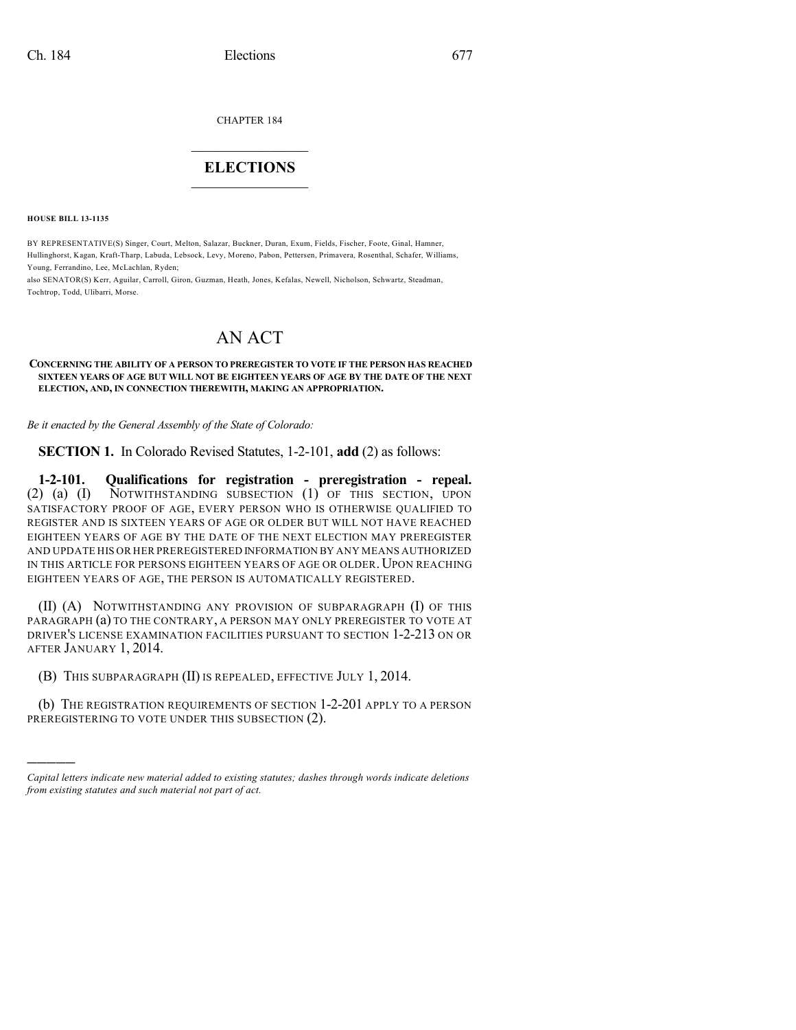CHAPTER 184

## $\overline{\phantom{a}}$  . The set of the set of the set of the set of the set of the set of the set of the set of the set of the set of the set of the set of the set of the set of the set of the set of the set of the set of the set o **ELECTIONS**  $\_$

**HOUSE BILL 13-1135**

)))))

BY REPRESENTATIVE(S) Singer, Court, Melton, Salazar, Buckner, Duran, Exum, Fields, Fischer, Foote, Ginal, Hamner, Hullinghorst, Kagan, Kraft-Tharp, Labuda, Lebsock, Levy, Moreno, Pabon, Pettersen, Primavera, Rosenthal, Schafer, Williams, Young, Ferrandino, Lee, McLachlan, Ryden;

also SENATOR(S) Kerr, Aguilar, Carroll, Giron, Guzman, Heath, Jones, Kefalas, Newell, Nicholson, Schwartz, Steadman, Tochtrop, Todd, Ulibarri, Morse.

## AN ACT

**CONCERNING THE ABILITY OF A PERSON TO PREREGISTER TO VOTE IF THE PERSON HAS REACHED SIXTEEN YEARS OF AGE BUT WILL NOT BE EIGHTEEN YEARS OF AGE BY THE DATE OF THE NEXT ELECTION, AND, IN CONNECTION THEREWITH, MAKING AN APPROPRIATION.**

*Be it enacted by the General Assembly of the State of Colorado:*

**SECTION 1.** In Colorado Revised Statutes, 1-2-101, **add** (2) as follows:

**1-2-101. Qualifications for registration - preregistration - repeal.** NOTWITHSTANDING SUBSECTION (1) OF THIS SECTION, UPON SATISFACTORY PROOF OF AGE, EVERY PERSON WHO IS OTHERWISE QUALIFIED TO REGISTER AND IS SIXTEEN YEARS OF AGE OR OLDER BUT WILL NOT HAVE REACHED EIGHTEEN YEARS OF AGE BY THE DATE OF THE NEXT ELECTION MAY PREREGISTER AND UPDATE HIS OR HER PREREGISTERED INFORMATION BY ANY MEANS AUTHORIZED IN THIS ARTICLE FOR PERSONS EIGHTEEN YEARS OF AGE OR OLDER. UPON REACHING EIGHTEEN YEARS OF AGE, THE PERSON IS AUTOMATICALLY REGISTERED.

(II) (A) NOTWITHSTANDING ANY PROVISION OF SUBPARAGRAPH (I) OF THIS PARAGRAPH (a) TO THE CONTRARY, A PERSON MAY ONLY PREREGISTER TO VOTE AT DRIVER'S LICENSE EXAMINATION FACILITIES PURSUANT TO SECTION 1-2-213 ON OR AFTER JANUARY 1, 2014.

(B) THIS SUBPARAGRAPH (II) IS REPEALED, EFFECTIVE JULY 1, 2014.

(b) THE REGISTRATION REQUIREMENTS OF SECTION 1-2-201 APPLY TO A PERSON PREREGISTERING TO VOTE UNDER THIS SUBSECTION (2).

*Capital letters indicate new material added to existing statutes; dashes through words indicate deletions from existing statutes and such material not part of act.*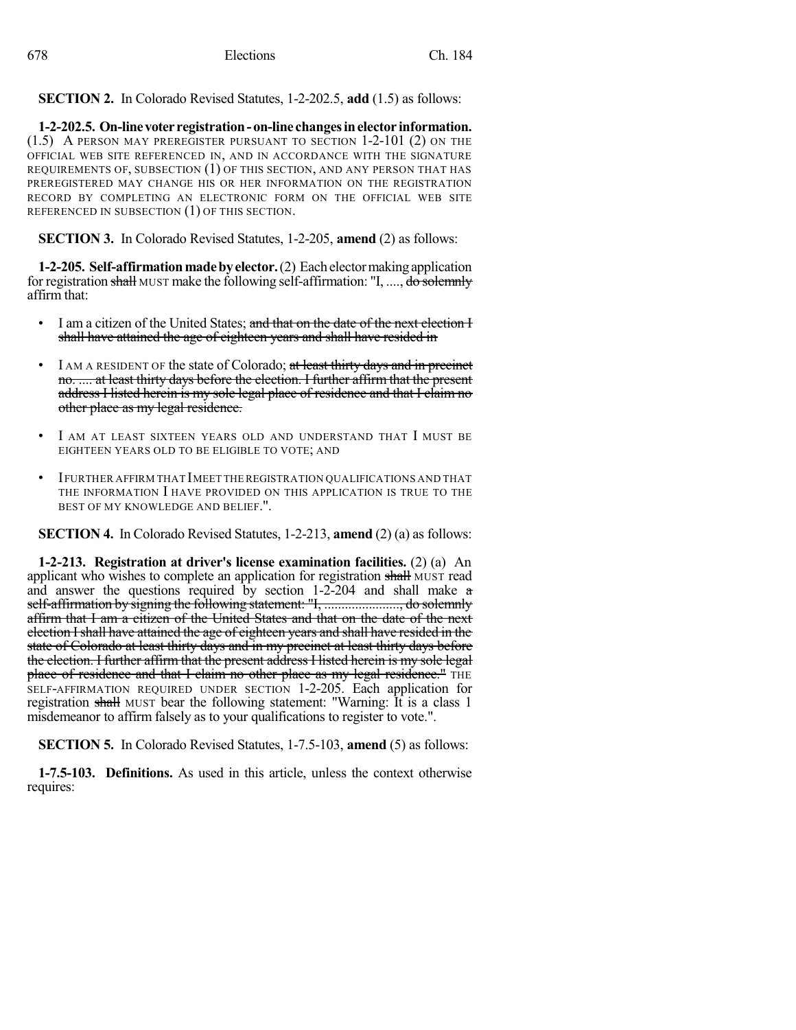**SECTION 2.** In Colorado Revised Statutes, 1-2-202.5, **add** (1.5) as follows:

**1-2-202.5. On-linevoter registration- on-line changesinelector information.** (1.5) A PERSON MAY PREREGISTER PURSUANT TO SECTION 1-2-101 (2) ON THE OFFICIAL WEB SITE REFERENCED IN, AND IN ACCORDANCE WITH THE SIGNATURE REQUIREMENTS OF, SUBSECTION (1) OF THIS SECTION, AND ANY PERSON THAT HAS PREREGISTERED MAY CHANGE HIS OR HER INFORMATION ON THE REGISTRATION RECORD BY COMPLETING AN ELECTRONIC FORM ON THE OFFICIAL WEB SITE REFERENCED IN SUBSECTION (1) OF THIS SECTION.

**SECTION 3.** In Colorado Revised Statutes, 1-2-205, **amend** (2) as follows:

**1-2-205. Self-affirmationmadebyelector.**(2) Eachelectormaking application for registration shall MUST make the following self-affirmation: "I, ..., do solemnly affirm that:

- I am a citizen of the United States; and that on the date of the next election I shall have attained the age of eighteen years and shall have resided in
- I AM A RESIDENT OF the state of Colorado; at least thirty days and in precinct no. .... at least thirty days before the election. I further affirm that the present address I listed herein is my sole legal place of residence and that I claim no other place as my legal residence.
- I AM AT LEAST SIXTEEN YEARS OLD AND UNDERSTAND THAT I MUST BE EIGHTEEN YEARS OLD TO BE ELIGIBLE TO VOTE; AND
- IFURTHER AFFIRM THAT IMEET THEREGISTRATION QUALIFICATIONS AND THAT THE INFORMATION I HAVE PROVIDED ON THIS APPLICATION IS TRUE TO THE BEST OF MY KNOWLEDGE AND BELIEF.".

**SECTION 4.** In Colorado Revised Statutes, 1-2-213, **amend** (2) (a) as follows:

**1-2-213. Registration at driver's license examination facilities.** (2) (a) An applicant who wishes to complete an application for registration shall MUST read and answer the questions required by section 1-2-204 and shall make a self-affirmation by signing the following statement: "I, ......................, do solemnly affirm that I am a citizen of the United States and that on the date of the next election Ishall have attained the age of eighteen years and shall have resided in the state of Colorado at least thirty days and in my precinct at least thirty days before the election. I further affirm that the present address I listed herein is my sole legal place of residence and that I claim no other place as my legal residence." THE SELF-AFFIRMATION REQUIRED UNDER SECTION 1-2-205. Each application for registration shall MUST bear the following statement: "Warning: It is a class 1 misdemeanor to affirm falsely as to your qualifications to register to vote.".

**SECTION 5.** In Colorado Revised Statutes, 1-7.5-103, **amend** (5) as follows:

**1-7.5-103. Definitions.** As used in this article, unless the context otherwise requires: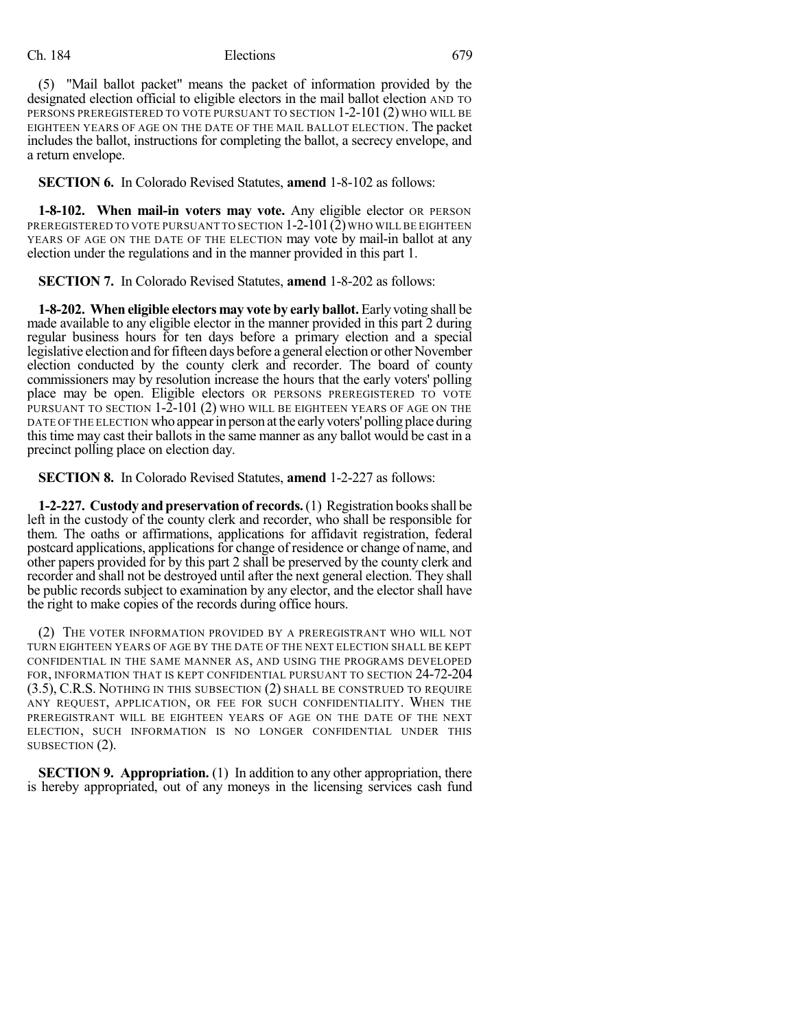## Ch. 184 Elections 679

(5) "Mail ballot packet" means the packet of information provided by the designated election official to eligible electors in the mail ballot election AND TO PERSONS PREREGISTERED TO VOTE PURSUANT TO SECTION 1-2-101 (2) WHO WILL BE EIGHTEEN YEARS OF AGE ON THE DATE OF THE MAIL BALLOT ELECTION. The packet includes the ballot, instructions for completing the ballot, a secrecy envelope, and a return envelope.

**SECTION 6.** In Colorado Revised Statutes, **amend** 1-8-102 as follows:

**1-8-102. When mail-in voters may vote.** Any eligible elector OR PERSON PREREGISTERED TO VOTE PURSUANT TO SECTION  $1-2-101(2)$  who will be eighteen YEARS OF AGE ON THE DATE OF THE ELECTION may vote by mail-in ballot at any election under the regulations and in the manner provided in this part 1.

**SECTION 7.** In Colorado Revised Statutes, **amend** 1-8-202 as follows:

**1-8-202. When eligible electors may vote by early ballot.** Early voting shall be made available to any eligible elector in the manner provided in this part 2 during regular business hours for ten days before a primary election and a special legislative election and for fifteen days before a general election or other November election conducted by the county clerk and recorder. The board of county commissioners may by resolution increase the hours that the early voters' polling place may be open. Eligible electors OR PERSONS PREREGISTERED TO VOTE PURSUANT TO SECTION 1-2-101 (2) WHO WILL BE EIGHTEEN YEARS OF AGE ON THE DATE OF THE ELECTION who appear in person at the early voters' polling place during this time may cast their ballots in the same manner as any ballot would be cast in a precinct polling place on election day.

**SECTION 8.** In Colorado Revised Statutes, **amend** 1-2-227 as follows:

**1-2-227. Custody and preservation of records.**(1) Registration booksshall be left in the custody of the county clerk and recorder, who shall be responsible for them. The oaths or affirmations, applications for affidavit registration, federal postcard applications, applicationsfor change of residence or change of name, and other papers provided for by this part 2 shall be preserved by the county clerk and recorder and shall not be destroyed until after the next general election. They shall be public records subject to examination by any elector, and the elector shall have the right to make copies of the records during office hours.

(2) THE VOTER INFORMATION PROVIDED BY A PREREGISTRANT WHO WILL NOT TURN EIGHTEEN YEARS OF AGE BY THE DATE OF THE NEXT ELECTION SHALL BE KEPT CONFIDENTIAL IN THE SAME MANNER AS, AND USING THE PROGRAMS DEVELOPED FOR, INFORMATION THAT IS KEPT CONFIDENTIAL PURSUANT TO SECTION 24-72-204 (3.5), C.R.S. NOTHING IN THIS SUBSECTION (2) SHALL BE CONSTRUED TO REQUIRE ANY REQUEST, APPLICATION, OR FEE FOR SUCH CONFIDENTIALITY. WHEN THE PREREGISTRANT WILL BE EIGHTEEN YEARS OF AGE ON THE DATE OF THE NEXT ELECTION, SUCH INFORMATION IS NO LONGER CONFIDENTIAL UNDER THIS SUBSECTION (2).

**SECTION 9. Appropriation.** (1) In addition to any other appropriation, there is hereby appropriated, out of any moneys in the licensing services cash fund